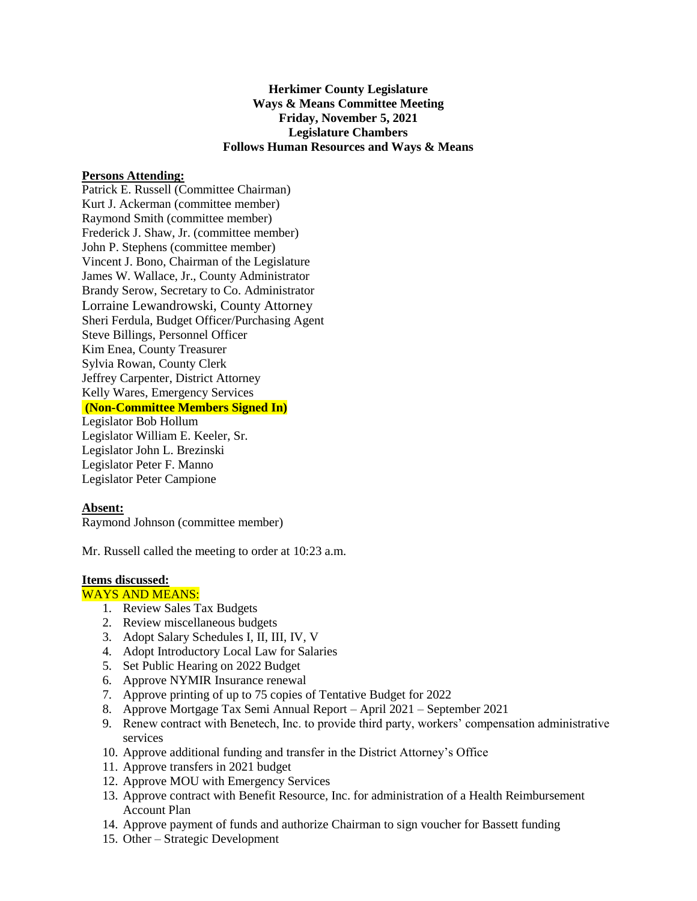# **Herkimer County Legislature Ways & Means Committee Meeting Friday, November 5, 2021 Legislature Chambers Follows Human Resources and Ways & Means**

### **Persons Attending:**

Patrick E. Russell (Committee Chairman) Kurt J. Ackerman (committee member) Raymond Smith (committee member) Frederick J. Shaw, Jr. (committee member) John P. Stephens (committee member) Vincent J. Bono, Chairman of the Legislature James W. Wallace, Jr., County Administrator Brandy Serow, Secretary to Co. Administrator Lorraine Lewandrowski, County Attorney Sheri Ferdula, Budget Officer/Purchasing Agent Steve Billings, Personnel Officer Kim Enea, County Treasurer Sylvia Rowan, County Clerk Jeffrey Carpenter, District Attorney Kelly Wares, Emergency Services **(Non-Committee Members Signed In)** Legislator Bob Hollum Legislator William E. Keeler, Sr. Legislator John L. Brezinski Legislator Peter F. Manno

Legislator Peter Campione

## **Absent:**

Raymond Johnson (committee member)

Mr. Russell called the meeting to order at 10:23 a.m.

# **Items discussed:**

## WAYS AND MEANS:

- 1. Review Sales Tax Budgets
- 2. Review miscellaneous budgets
- 3. Adopt Salary Schedules I, II, III, IV, V
- 4. Adopt Introductory Local Law for Salaries
- 5. Set Public Hearing on 2022 Budget
- 6. Approve NYMIR Insurance renewal
- 7. Approve printing of up to 75 copies of Tentative Budget for 2022
- 8. Approve Mortgage Tax Semi Annual Report April 2021 September 2021
- 9. Renew contract with Benetech, Inc. to provide third party, workers' compensation administrative services
- 10. Approve additional funding and transfer in the District Attorney's Office
- 11. Approve transfers in 2021 budget
- 12. Approve MOU with Emergency Services
- 13. Approve contract with Benefit Resource, Inc. for administration of a Health Reimbursement Account Plan
- 14. Approve payment of funds and authorize Chairman to sign voucher for Bassett funding
- 15. Other Strategic Development